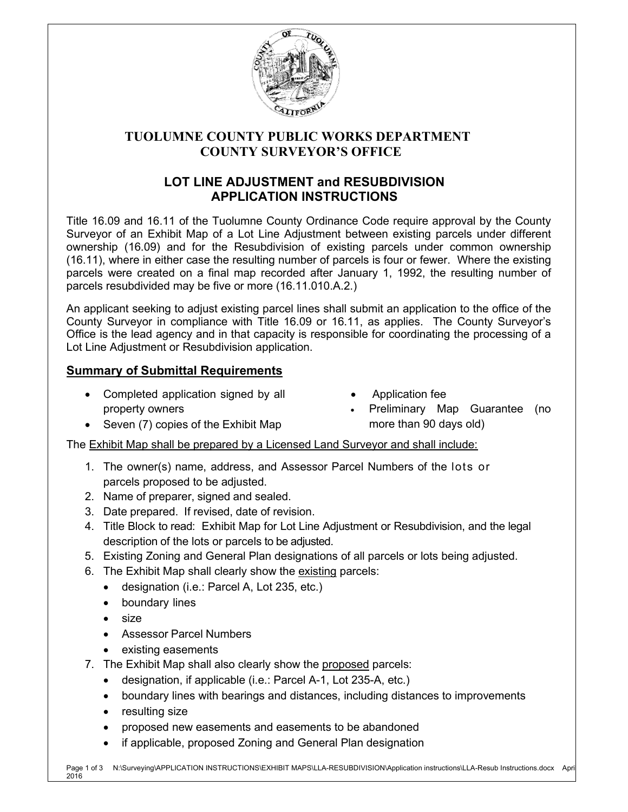

# **TUOLUMNE COUNTY PUBLIC WORKS DEPARTMENT COUNTY SURVEYOR'S OFFICE**

# **LOT LINE ADJUSTMENT and RESUBDIVISION APPLICATION INSTRUCTIONS**

Title 16.09 and 16.11 of the Tuolumne County Ordinance Code require approval by the County Surveyor of an Exhibit Map of a Lot Line Adjustment between existing parcels under different ownership (16.09) and for the Resubdivision of existing parcels under common ownership (16.11), where in either case the resulting number of parcels is four or fewer. Where the existing parcels were created on a final map recorded after January 1, 1992, the resulting number of parcels resubdivided may be five or more (16.11.010.A.2.)

An applicant seeking to adjust existing parcel lines shall submit an application to the office of the County Surveyor in compliance with Title 16.09 or 16.11, as applies. The County Surveyor's Office is the lead agency and in that capacity is responsible for coordinating the processing of a Lot Line Adjustment or Resubdivision application.

## **Summary of Submittal Requirements**

- Completed application signed by all property owners
- Application fee
- Preliminary Map Guarantee (no more than 90 days old)
- Seven (7) copies of the Exhibit Map

The Exhibit Map shall be prepared by a Licensed Land Surveyor and shall include:

- 1. The owner(s) name, address, and Assessor Parcel Numbers of the lots or parcels proposed to be adjusted.
- 2. Name of preparer, signed and sealed.
- 3. Date prepared. If revised, date of revision.
- 4. Title Block to read: Exhibit Map for Lot Line Adjustment or Resubdivision, and the legal description of the lots or parcels to be adjusted.
- 5. Existing Zoning and General Plan designations of all parcels or lots being adjusted.
- 6. The Exhibit Map shall clearly show the existing parcels:
	- designation (i.e.: Parcel A, Lot 235, etc.)
	- boundary lines
	- size
	- Assessor Parcel Numbers
	- existing easements
- 7. The Exhibit Map shall also clearly show the proposed parcels:
	- designation, if applicable (i.e.: Parcel A-1, Lot 235-A, etc.)
	- boundary lines with bearings and distances, including distances to improvements
	- resulting size
	- proposed new easements and easements to be abandoned
	- if applicable, proposed Zoning and General Plan designation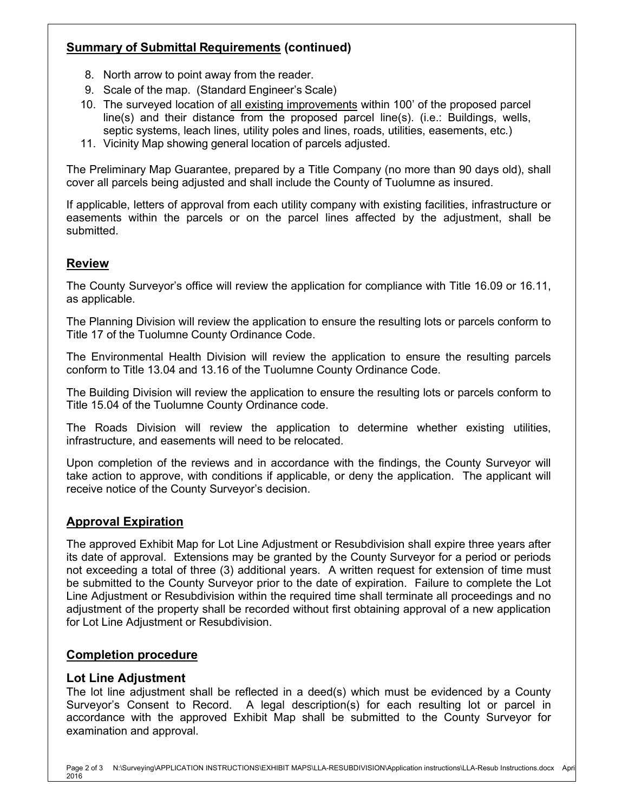# **Summary of Submittal Requirements (continued)**

- 8. North arrow to point away from the reader.
- 9. Scale of the map. (Standard Engineer's Scale)
- 10. The surveyed location of all existing improvements within 100' of the proposed parcel line(s) and their distance from the proposed parcel line(s). (i.e.: Buildings, wells, septic systems, leach lines, utility poles and lines, roads, utilities, easements, etc.)
- 11. Vicinity Map showing general location of parcels adjusted.

The Preliminary Map Guarantee, prepared by a Title Company (no more than 90 days old), shall cover all parcels being adjusted and shall include the County of Tuolumne as insured.

If applicable, letters of approval from each utility company with existing facilities, infrastructure or easements within the parcels or on the parcel lines affected by the adjustment, shall be submitted.

## **Review**

The County Surveyor's office will review the application for compliance with Title 16.09 or 16.11, as applicable.

The Planning Division will review the application to ensure the resulting lots or parcels conform to Title 17 of the Tuolumne County Ordinance Code.

The Environmental Health Division will review the application to ensure the resulting parcels conform to Title 13.04 and 13.16 of the Tuolumne County Ordinance Code.

The Building Division will review the application to ensure the resulting lots or parcels conform to Title 15.04 of the Tuolumne County Ordinance code.

The Roads Division will review the application to determine whether existing utilities, infrastructure, and easements will need to be relocated.

Upon completion of the reviews and in accordance with the findings, the County Surveyor will take action to approve, with conditions if applicable, or deny the application. The applicant will receive notice of the County Surveyor's decision.

## **Approval Expiration**

The approved Exhibit Map for Lot Line Adjustment or Resubdivision shall expire three years after its date of approval. Extensions may be granted by the County Surveyor for a period or periods not exceeding a total of three (3) additional years. A written request for extension of time must be submitted to the County Surveyor prior to the date of expiration. Failure to complete the Lot Line Adjustment or Resubdivision within the required time shall terminate all proceedings and no adjustment of the property shall be recorded without first obtaining approval of a new application for Lot Line Adjustment or Resubdivision.

### **Completion procedure**

### **Lot Line Adjustment**

The lot line adjustment shall be reflected in a deed(s) which must be evidenced by a County Surveyor's Consent to Record. A legal description(s) for each resulting lot or parcel in accordance with the approved Exhibit Map shall be submitted to the County Surveyor for examination and approval.